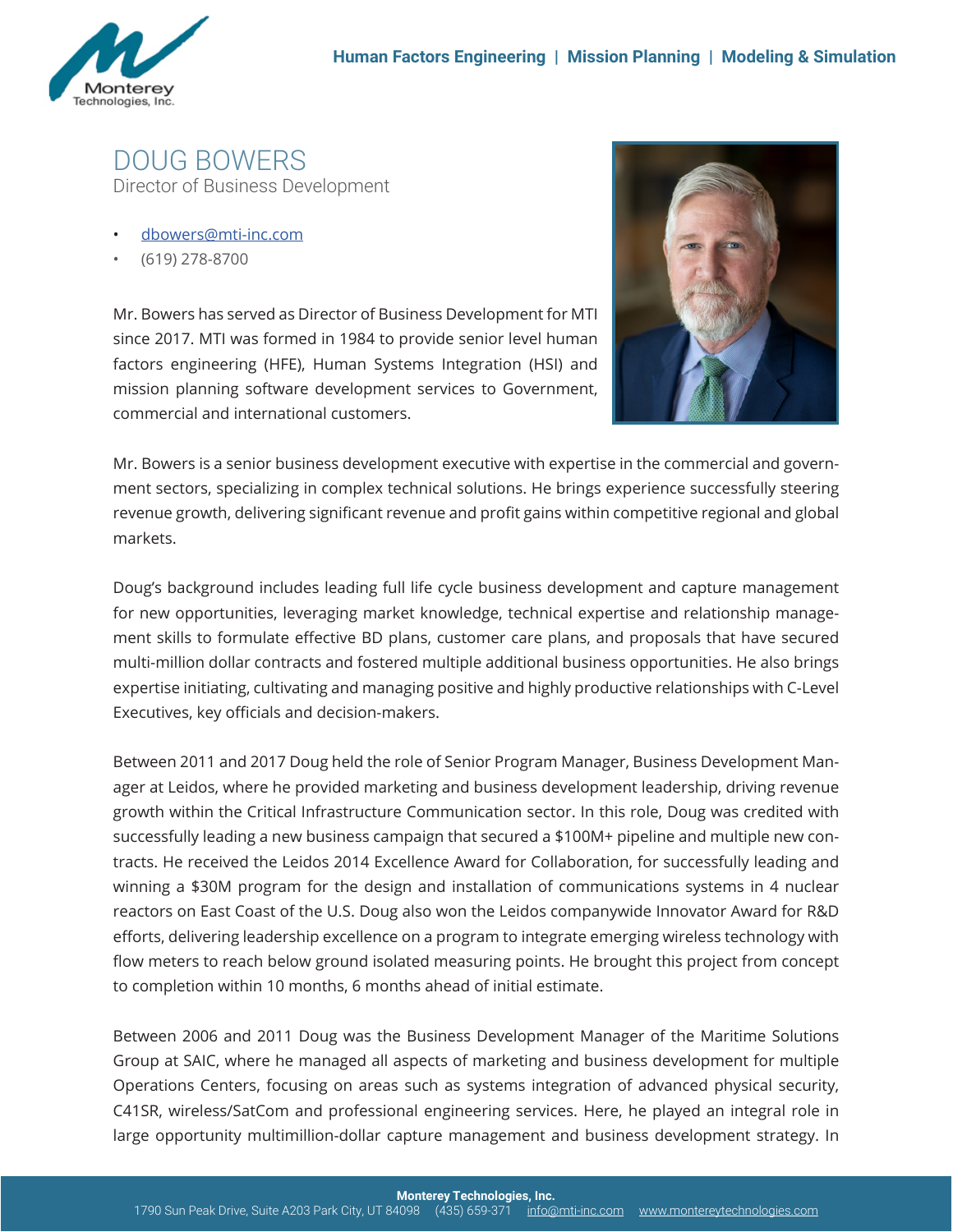

DOUG BOWERS Director of Business Development

- dbowers@mti-inc.com
- (619) 278-8700

Mr. Bowers has served as Director of Business Development for MTI since 2017. MTI was formed in 1984 to provide senior level human factors engineering (HFE), Human Systems Integration (HSI) and mission planning software development services to Government, commercial and international customers.



Mr. Bowers is a senior business development executive with expertise in the commercial and government sectors, specializing in complex technical solutions. He brings experience successfully steering revenue growth, delivering significant revenue and profit gains within competitive regional and global markets.

Doug's background includes leading full life cycle business development and capture management for new opportunities, leveraging market knowledge, technical expertise and relationship management skills to formulate effective BD plans, customer care plans, and proposals that have secured multi-million dollar contracts and fostered multiple additional business opportunities. He also brings expertise initiating, cultivating and managing positive and highly productive relationships with C-Level Executives, key officials and decision-makers.

Between 2011 and 2017 Doug held the role of Senior Program Manager, Business Development Manager at Leidos, where he provided marketing and business development leadership, driving revenue growth within the Critical Infrastructure Communication sector. In this role, Doug was credited with successfully leading a new business campaign that secured a \$100M+ pipeline and multiple new contracts. He received the Leidos 2014 Excellence Award for Collaboration, for successfully leading and winning a \$30M program for the design and installation of communications systems in 4 nuclear reactors on East Coast of the U.S. Doug also won the Leidos companywide Innovator Award for R&D efforts, delivering leadership excellence on a program to integrate emerging wireless technology with flow meters to reach below ground isolated measuring points. He brought this project from concept to completion within 10 months, 6 months ahead of initial estimate.

Between 2006 and 2011 Doug was the Business Development Manager of the Maritime Solutions Group at SAIC, where he managed all aspects of marketing and business development for multiple Operations Centers, focusing on areas such as systems integration of advanced physical security, C41SR, wireless/SatCom and professional engineering services. Here, he played an integral role in large opportunity multimillion-dollar capture management and business development strategy. In